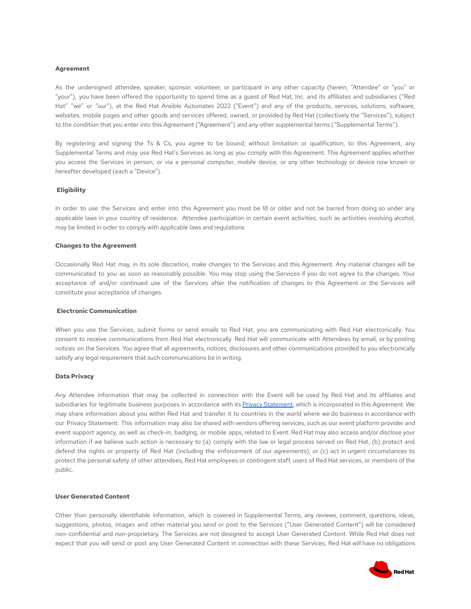#### **Agreement**

As the undersigned attendee, speaker, sponsor, volunteer, or participant in any other capacity (herein, "Attendee" or "you" or "your"), you have been offered the opportunity to spend time as a guest of Red Hat, Inc. and its affiliates and subsidiaries ("Red Hat" "we" or "our"), at the Red Hat Ansible Automates 2022 ("Event") and any of the products, services, solutions, software, websites, mobile pages and other goods and services offered, owned, or provided by Red Hat (collectively the "Services"), subject to the condition that you enter into this Agreement ("Agreement") and any other supplemental terms ("Supplemental Terms").

By registering and signing the Ts & Cs, you agree to be bound, without limitation or qualification, to this Agreement, any Supplemental Terms and may use Red Hat's Services as long as you comply with this Agreement. This Agreement applies whether you access the Services in person, or via a personal computer, mobile device, or any other technology or device now known or hereafter developed (each a "Device").

# **Eligibility**

In order to use the Services and enter into this Agreement you must be 18 or older and not be barred from doing so under any applicable laws in your country of residence. Attendee participation in certain event activities, such as activities involving alcohol, may be limited in order to comply with applicable laws and regulations

#### **Changes to the Agreement**

Occasionally Red Hat may, in its sole discretion, make changes to the Services and this Agreement. Any material changes will be communicated to you as soon as reasonably possible. You may stop using the Services if you do not agree to the changes. Your acceptance of and/or continued use of the Services after the notification of changes to this Agreement or the Services will constitute your acceptance of changes.

#### **Electronic Communication**

When you use the Services, submit forms or send emails to Red Hat, you are communicating with Red Hat electronically. You consent to receive communications from Red Hat electronically. Red Hat will communicate with Attendees by email, or by posting notices on the Services. You agree that all agreements, notices, disclosures and other communications provided to you electronically satisfy any legal requirement that such communications be in writing.

# **Data Privacy**

Any Attendee information that may be collected in connection with the Event will be used by Red Hat and its affiliates and subsidiaries for legitimate business purposes in accordance with its Privacy [Statement,](https://www.redhat.com/en/about/privacy-policy) which is incorporated in this Agreement. We may share information about you within Red Hat and transfer it to countries in the world where we do business in accordance with our Privacy Statement. This information may also be shared with vendors offering services, such as our event platform provider and event support agency, as well as check-in, badging, or mobile apps, related to Event. Red Hat may also access and/or disclose your information if we believe such action is necessary to (a) comply with the law or legal process served on Red Hat, (b) protect and defend the rights or property of Red Hat (including the enforcement of our agreements), or (c) act in urgent circumstances to protect the personal safety of other attendees, Red Hat employees or contingent staff, users of Red Hat services, or members of the public.

#### **User Generated Content**

Other than personally identifiable information, which is covered in Supplemental Terms, any reviews, comment, questions, ideas, suggestions, photos, images and other material you send or post to the Services ("User Generated Content") will be considered non-confidential and non-proprietary. The Services are not designed to accept User Generated Content. While Red Hat does not expect that you will send or post any User Generated Content in connection with these Services, Red Hat will have no obligations

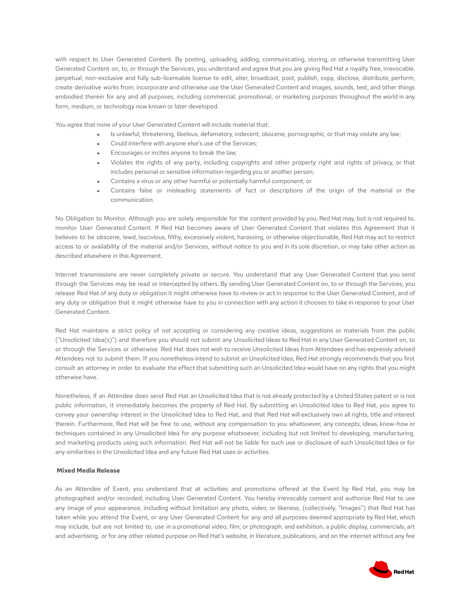with respect to User Generated Content. By posting, uploading, adding, communicating, storing, or otherwise transmitting User Generated Content on, to, or through the Services, you understand and agree that you are giving Red Hat a royalty free, irrevocable, perpetual, non-exclusive and fully sub-licensable license to edit, alter, broadcast, post, publish, copy, disclose, distribute, perform, create derivative works from, incorporate and otherwise use the User Generated Content and images, sounds, text, and other things embodied therein for any and all purposes, including commercial, promotional, or marketing purposes throughout the world in any form, medium, or technology now known or later developed.

You agree that none of your User Generated Content will include material that:

- Is unlawful, threatening, libelous, defamatory, indecent, obscene, pornographic, or that may violate any law;
- Could interfere with anyone else's use of the Services;
- Encourages or incites anyone to break the law;
- Violates the rights of any party, including copyrights and other property right and rights of privacy, or that includes personal or sensitive information regarding you or another person;
- Contains a virus or any other harmful or potentially harmful component; or
- Contains false or misleading statements of fact or descriptions of the origin of the material or the communication.

No Obligation to Monitor. Although you are solely responsible for the content provided by you, Red Hat may, but is not required to, monitor User Generated Content. If Red Hat becomes aware of User Generated Content that violates this Agreement that it believes to be obscene, lewd, lascivious, filthy, excessively violent, harassing, or otherwise objectionable, Red Hat may act to restrict access to or availability of the material and/or Services, without notice to you and in its sole discretion, or may take other action as described elsewhere in this Agreement.

Internet transmissions are never completely private or secure. You understand that any User Generated Content that you send through the Services may be read or intercepted by others. By sending User Generated Content on, to or through the Services, you release Red Hat of any duty or obligation it might otherwise have to review or act in response to the User Generated Content, and of any duty or obligation that it might otherwise have to you in connection with any action it chooses to take in response to your User Generated Content.

Red Hat maintains a strict policy of not accepting or considering any creative ideas, suggestions or materials from the public ("Unsolicited Idea(s)") and therefore you should not submit any Unsolicited Ideas to Red Hat in any User Generated Content on, to or through the Services or otherwise. Red Hat does not wish to receive Unsolicited Ideas from Attendees and has expressly advised Attendees not to submit them. If you nonetheless intend to submit an Unsolicited Idea, Red Hat strongly recommends that you first consult an attorney in order to evaluate the effect that submitting such an Unsolicited Idea would have on any rights that you might otherwise have.

Nonetheless, if an Attendee does send Red Hat an Unsolicited Idea that is not already protected by a United States patent or is not public information, it immediately becomes the property of Red Hat. By submitting an Unsolicited Idea to Red Hat, you agree to convey your ownership interest in the Unsolicited Idea to Red Hat, and that Red Hat will exclusively own all rights, title and interest therein. Furthermore, Red Hat will be free to use, without any compensation to you whatsoever, any concepts, ideas, know-how or techniques contained in any Unsolicited Idea for any purpose whatsoever, including but not limited to developing, manufacturing, and marketing products using such information. Red Hat will not be liable for such use or disclosure of such Unsolicited Idea or for any similarities in the Unsolicited Idea and any future Red Hat uses or activities.

### **Mixed Media Release**

As an Attendee of Event, you understand that at activities and promotions offered at the Event by Red Hat, you may be photographed and/or recorded, including User Generated Content. You hereby irrevocably consent and authorize Red Hat to use any image of your appearance, including without limitation any photo, video, or likeness, (collectively, "Images") that Red Hat has taken while you attend the Event, or any User Generated Content for any and all purposes deemed appropriate by Red Hat, which may include, but are not limited to, use in a promotional video, film, or photograph, and exhibition, a public display, commercials, art and advertising, or for any other related purpose on Red Hat's website, in literature, publications, and on the internet without any fee

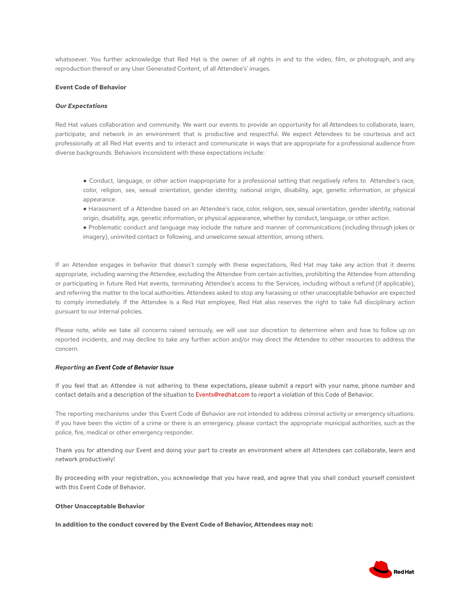whatsoever. You further acknowledge that Red Hat is the owner of all rights in and to the video, film, or photograph, and any reproduction thereof or any User Generated Content, of all Attendee's' images.

### **Event Code of Behavior**

### *Our Expectations*

Red Hat values collaboration and community. We want our events to provide an opportunity for all Attendees to collaborate, learn, participate, and network in an environment that is productive and respectful. We expect Attendees to be courteous and act professionally at all Red Hat events and to interact and communicate in ways that are appropriate for a professional audience from diverse backgrounds. Behaviors inconsistent with these expectations include:

● Conduct, language, or other action inappropriate for a professional setting that negatively refers to Attendee's race, color, religion, sex, sexual orientation, gender identity, national origin, disability, age, genetic information, or physical appearance.

- Harassment of a Attendee based on an Attendee's race, color, religion, sex, sexual orientation, gender identity, national origin, disability, age, genetic information, or physical appearance, whether by conduct, language, or other action.
- Problematic conduct and language may include the nature and manner of communications (including through jokes or imagery), uninvited contact or following, and unwelcome sexual attention, among others.

If an Attendee engages in behavior that doesn't comply with these expectations, Red Hat may take any action that it deems appropriate, including warning the Attendee, excluding the Attendee from certain activities, prohibiting the Attendee from attending or participating in future Red Hat events, terminating Attendee's access to the Services, including without a refund (if applicable), and referring the matter to the local authorities. Attendees asked to stop any harassing or other unacceptable behavior are expected to comply immediately. If the Attendee is a Red Hat employee, Red Hat also reserves the right to take full disciplinary action pursuant to our internal policies.

Please note, while we take all concerns raised seriously, we will use our discretion to determine when and how to follow up on reported incidents, and may decline to take any further action and/or may direct the Attendee to other resources to address the concern.

### *Reporting an Event Code of Behavior Issue*

If you feel that an Attendee is not adhering to these expectations, please submit a report with your name, phone number and contact details and a description of the situation to Events@redhat.com to report a violation of this Code of Behavior.

The reporting mechanisms under this Event Code of Behavior are not intended to address criminal activity or emergency situations. If you have been the victim of a crime or there is an emergency, please contact the appropriate municipal authorities, such as the police, fire, medical or other emergency responder.

Thank you for attending our Event and doing your part to create an environment where all Attendees can collaborate, learn and network productively!

By proceeding with your registration, you acknowledge that you have read, and agree that you shall conduct yourself consistent with this Event Code of Behavior.

### **Other Unacceptable Behavior**

**In addition to the conduct covered by the Event Code of Behavior, Attendees may not:**

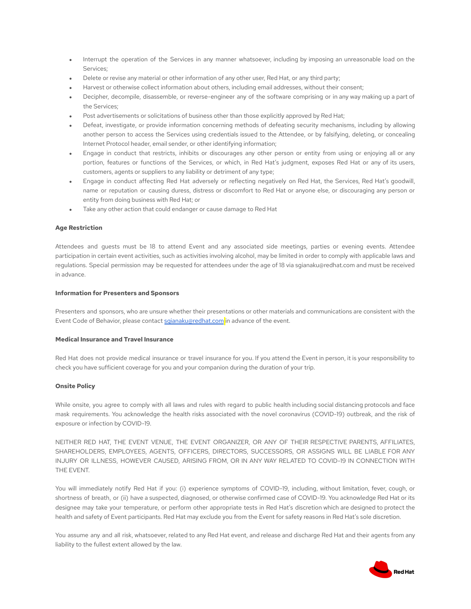- Interrupt the operation of the Services in any manner whatsoever, including by imposing an unreasonable load on the Services;
- Delete or revise any material or other information of any other user, Red Hat, or any third party;
- Harvest or otherwise collect information about others, including email addresses, without their consent;
- Decipher, decompile, disassemble, or reverse-engineer any of the software comprising or in any way making up a part of the Services;
- Post advertisements or solicitations of business other than those explicitly approved by Red Hat;
- Defeat, investigate, or provide information concerning methods of defeating security mechanisms, including by allowing another person to access the Services using credentials issued to the Attendee, or by falsifying, deleting, or concealing Internet Protocol header, email sender, or other identifying information;
- Engage in conduct that restricts, inhibits or discourages any other person or entity from using or enjoying all or any portion, features or functions of the Services, or which, in Red Hat's judgment, exposes Red Hat or any of its users, customers, agents or suppliers to any liability or detriment of any type;
- Engage in conduct affecting Red Hat adversely or reflecting negatively on Red Hat, the Services, Red Hat's goodwill, name or reputation or causing duress, distress or discomfort to Red Hat or anyone else, or discouraging any person or entity from doing business with Red Hat; or
- Take any other action that could endanger or cause damage to Red Hat

### **Age Restriction**

Attendees and guests must be 18 to attend Event and any associated side meetings, parties or evening events. Attendee participation in certain event activities, such as activities involving alcohol, may be limited in order to comply with applicable laws and regulations. Special permission may be requested for attendees under the age of 18 via sgianaku@redhat.com and must be received in advance.

# **Information for Presenters and Sponsors**

Presenters and sponsors, who are unsure whether their presentations or other materials and communications are consistent with the Event Code of Behavior, please contact [sgianaku@redhat.com](mailto:sgianaku@redhat.com) in advance of the event.

## **Medical Insurance and Travel Insurance**

Red Hat does not provide medical insurance or travel insurance for you. If you attend the Event in person, it is your responsibility to check you have sufficient coverage for you and your companion during the duration of your trip.

### **Onsite Policy**

While onsite, you agree to comply with all laws and rules with regard to public health including social distancing protocols and face mask requirements. You acknowledge the health risks associated with the novel coronavirus (COVID-19) outbreak, and the risk of exposure or infection by COVID-19.

NEITHER RED HAT, THE EVENT VENUE, THE EVENT ORGANIZER, OR ANY OF THEIR RESPECTIVE PARENTS, AFFILIATES, SHAREHOLDERS, EMPLOYEES, AGENTS, OFFICERS, DIRECTORS, SUCCESSORS, OR ASSIGNS WILL BE LIABLE FOR ANY INJURY OR ILLNESS, HOWEVER CAUSED, ARISING FROM, OR IN ANY WAY RELATED TO COVID-19 IN CONNECTION WITH THE EVENT.

You will immediately notify Red Hat if you: (i) experience symptoms of COVID-19, including, without limitation, fever, cough, or shortness of breath, or (ii) have a suspected, diagnosed, or otherwise confirmed case of COVID-19. You acknowledge Red Hat or its designee may take your temperature, or perform other appropriate tests in Red Hat's discretion which are designed to protect the health and safety of Event participants. Red Hat may exclude you from the Event for safety reasons in Red Hat's sole discretion.

You assume any and all risk, whatsoever, related to any Red Hat event, and release and discharge Red Hat and their agents from any liability to the fullest extent allowed by the law.

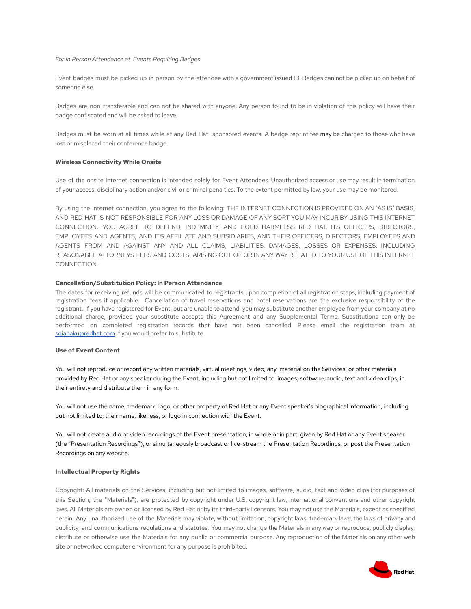#### *For In Person Attendance at Events Requiring Badges*

Event badges must be picked up in person by the attendee with a government issued ID. Badges can not be picked up on behalf of someone else.

Badges are non transferable and can not be shared with anyone. Any person found to be in violation of this policy will have their badge confiscated and will be asked to leave.

Badges must be worn at all times while at any Red Hat sponsored events. A badge reprint fee may be charged to those who have lost or misplaced their conference badge.

#### **Wireless Connectivity While Onsite**

Use of the onsite Internet connection is intended solely for Event Attendees. Unauthorized access or use may result in termination of your access, disciplinary action and/or civil or criminal penalties. To the extent permitted by law, your use may be monitored.

By using the Internet connection, you agree to the following: THE INTERNET CONNECTION IS PROVIDED ON AN "AS IS" BASIS, AND RED HAT IS NOT RESPONSIBLE FOR ANY LOSS OR DAMAGE OF ANY SORT YOU MAY INCUR BY USING THIS INTERNET CONNECTION. YOU AGREE TO DEFEND, INDEMNIFY, AND HOLD HARMLESS RED HAT, ITS OFFICERS, DIRECTORS, EMPLOYEES AND AGENTS, AND ITS AFFILIATE AND SUBSIDIARIES, AND THEIR OFFICERS, DIRECTORS, EMPLOYEES AND AGENTS FROM AND AGAINST ANY AND ALL CLAIMS, LIABILITIES, DAMAGES, LOSSES OR EXPENSES, INCLUDING REASONABLE ATTORNEYS FEES AND COSTS, ARISING OUT OF OR IN ANY WAY RELATED TO YOUR USE OF THIS INTERNET CONNECTION.

#### **Cancellation/Substitution Policy: In Person Attendance**

The dates for receiving refunds will be communicated to registrants upon completion of all registration steps, including payment of registration fees if applicable. Cancellation of travel reservations and hotel reservations are the exclusive responsibility of the registrant. If you have registered for Event, but are unable to attend, you may substitute another employee from your company at no additional charge, provided your substitute accepts this Agreement and any Supplemental Terms. Substitutions can only be performed on completed registration records that have not been cancelled. Please email the registration team at [sgianaku@redhat.com](mailto:atsgianaku@redhat.com) if you would prefer to substitute.

#### **Use of Event Content**

You will not reproduce or record any written materials, virtual meetings, video, any material on the Services, or other materials provided by Red Hat or any speaker during the Event, including but not limited to images, software, audio, text and video clips, in their entirety and distribute them in any form.

You will not use the name, trademark, logo, or other property of Red Hat or any Event speaker's biographical information, including but not limited to, their name, likeness, or logo in connection with the Event.

You will not create audio or video recordings of the Event presentation, in whole or in part, given by Red Hat or any Event speaker (the "Presentation Recordings"), or simultaneously broadcast or live-stream the Presentation Recordings, or post the Presentation Recordings on any website.

#### **Intellectual Property Rights**

Copyright: All materials on the Services, including but not limited to images, software, audio, text and video clips (for purposes of this Section, the "Materials"), are protected by copyright under U.S. copyright law, international conventions and other copyright laws. All Materials are owned or licensed by Red Hat or by its third-party licensors. You may not use the Materials, except as specified herein. Any unauthorized use of the Materials may violate, without limitation, copyright laws, trademark laws, the laws of privacy and publicity, and communications regulations and statutes. You may not change the Materials in any way or reproduce, publicly display, distribute or otherwise use the Materials for any public or commercial purpose. Any reproduction of the Materials on any other web site or networked computer environment for any purpose is prohibited.

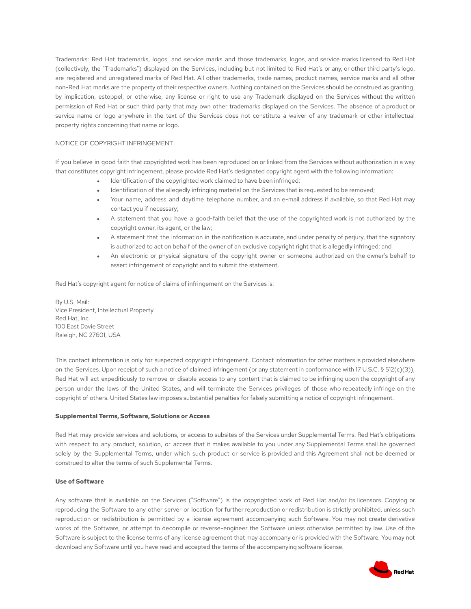Trademarks: Red Hat trademarks, logos, and service marks and those trademarks, logos, and service marks licensed to Red Hat (collectively, the "Trademarks") displayed on the Services, including but not limited to Red Hat's or any, or other third party's logo, are registered and unregistered marks of Red Hat. All other trademarks, trade names, product names, service marks and all other non-Red Hat marks are the property of their respective owners. Nothing contained on the Services should be construed as granting, by implication, estoppel, or otherwise, any license or right to use any Trademark displayed on the Services without the written permission of Red Hat or such third party that may own other trademarks displayed on the Services. The absence of a product or service name or logo anywhere in the text of the Services does not constitute a waiver of any trademark or other intellectual property rights concerning that name or logo.

## NOTICE OF COPYRIGHT INFRINGEMENT

If you believe in good faith that copyrighted work has been reproduced on or linked from the Services without authorization in a way that constitutes copyright infringement, please provide Red Hat's designated copyright agent with the following information:

- Identification of the copyrighted work claimed to have been infringed;
- Identification of the allegedly infringing material on the Services that is requested to be removed;
- Your name, address and daytime telephone number, and an e-mail address if available, so that Red Hat may contact you if necessary;
- A statement that you have a good-faith belief that the use of the copyrighted work is not authorized by the copyright owner, its agent, or the law;
- A statement that the information in the notification is accurate, and under penalty of perjury, that the signatory is authorized to act on behalf of the owner of an exclusive copyright right that is allegedly infringed; and
- An electronic or physical signature of the copyright owner or someone authorized on the owner's behalf to assert infringement of copyright and to submit the statement.

Red Hat's copyright agent for notice of claims of infringement on the Services is:

By U.S. Mail: Vice President, Intellectual Property Red Hat, Inc. 100 East Davie Street Raleigh, NC 27601, USA

This contact information is only for suspected copyright infringement. Contact information for other matters is provided elsewhere on the Services. Upon receipt of such a notice of claimed infringement (or any statement in conformance with 17 U.S.C. § 512(c)(3)), Red Hat will act expeditiously to remove or disable access to any content that is claimed to be infringing upon the copyright of any person under the laws of the United States, and will terminate the Services privileges of those who repeatedly infringe on the copyright of others. United States law imposes substantial penalties for falsely submitting a notice of copyright infringement.

### **Supplemental Terms, Software, Solutions or Access**

Red Hat may provide services and solutions, or access to subsites of the Services under Supplemental Terms. Red Hat's obligations with respect to any product, solution, or access that it makes available to you under any Supplemental Terms shall be governed solely by the Supplemental Terms, under which such product or service is provided and this Agreement shall not be deemed or construed to alter the terms of such Supplemental Terms.

### **Use of Software**

Any software that is available on the Services ("Software") is the copyrighted work of Red Hat and/or its licensors. Copying or reproducing the Software to any other server or location for further reproduction or redistribution is strictly prohibited, unless such reproduction or redistribution is permitted by a license agreement accompanying such Software. You may not create derivative works of the Software, or attempt to decompile or reverse-engineer the Software unless otherwise permitted by law. Use of the Software is subject to the license terms of any license agreement that may accompany or is provided with the Software. You may not download any Software until you have read and accepted the terms of the accompanying software license.

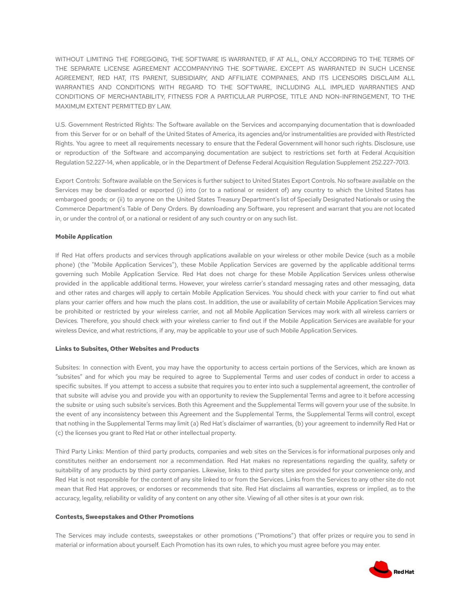WITHOUT LIMITING THE FOREGOING, THE SOFTWARE IS WARRANTED, IF AT ALL, ONLY ACCORDING TO THE TERMS OF THE SEPARATE LICENSE AGREEMENT ACCOMPANYING THE SOFTWARE. EXCEPT AS WARRANTED IN SUCH LICENSE AGREEMENT, RED HAT, ITS PARENT, SUBSIDIARY, AND AFFILIATE COMPANIES, AND ITS LICENSORS DISCLAIM ALL WARRANTIES AND CONDITIONS WITH REGARD TO THE SOFTWARE, INCLUDING ALL IMPLIED WARRANTIES AND CONDITIONS OF MERCHANTABILITY, FITNESS FOR A PARTICULAR PURPOSE, TITLE AND NON-INFRINGEMENT, TO THE MAXIMUM EXTENT PERMITTED BY LAW.

U.S. Government Restricted Rights: The Software available on the Services and accompanying documentation that is downloaded from this Server for or on behalf of the United States of America, its agencies and/or instrumentalities are provided with Restricted Rights. You agree to meet all requirements necessary to ensure that the Federal Government will honor such rights. Disclosure, use or reproduction of the Software and accompanying documentation are subject to restrictions set forth at Federal Acquisition Regulation 52.227-14, when applicable, or in the Department of Defense Federal Acquisition Regulation Supplement 252.227-7013.

Export Controls: Software available on the Services is further subject to United States Export Controls. No software available on the Services may be downloaded or exported (i) into (or to a national or resident of) any country to which the United States has embargoed goods; or (ii) to anyone on the United States Treasury Department's list of Specially Designated Nationals or using the Commerce Department's Table of Deny Orders. By downloading any Software, you represent and warrant that you are not located in, or under the control of, or a national or resident of any such country or on any such list.

### **Mobile Application**

If Red Hat offers products and services through applications available on your wireless or other mobile Device (such as a mobile phone) (the "Mobile Application Services"), these Mobile Application Services are governed by the applicable additional terms governing such Mobile Application Service. Red Hat does not charge for these Mobile Application Services unless otherwise provided in the applicable additional terms. However, your wireless carrier's standard messaging rates and other messaging, data and other rates and charges will apply to certain Mobile Application Services. You should check with your carrier to find out what plans your carrier offers and how much the plans cost. In addition, the use or availability of certain Mobile Application Services may be prohibited or restricted by your wireless carrier, and not all Mobile Application Services may work with all wireless carriers or Devices. Therefore, you should check with your wireless carrier to find out if the Mobile Application Services are available for your wireless Device, and what restrictions, if any, may be applicable to your use of such Mobile Application Services.

### **Links to Subsites, Other Websites and Products**

Subsites: In connection with Event, you may have the opportunity to access certain portions of the Services, which are known as "subsites" and for which you may be required to agree to Supplemental Terms and user codes of conduct in order to access a specific subsites. If you attempt to access a subsite that requires you to enter into such a supplemental agreement, the controller of that subsite will advise you and provide you with an opportunity to review the Supplemental Terms and agree to it before accessing the subsite or using such subsite's services. Both this Agreement and the Supplemental Terms will govern your use of the subsite. In the event of any inconsistency between this Agreement and the Supplemental Terms, the Supplemental Terms will control, except that nothing in the Supplemental Terms may limit (a) Red Hat's disclaimer of warranties, (b) your agreement to indemnify Red Hat or (c) the licenses you grant to Red Hat or other intellectual property.

Third Party Links: Mention of third party products, companies and web sites on the Services is for informational purposes only and constitutes neither an endorsement nor a recommendation. Red Hat makes no representations regarding the quality, safety or suitability of any products by third party companies. Likewise, links to third party sites are provided for your convenience only, and Red Hat is not responsible for the content of any site linked to or from the Services. Links from the Services to any other site do not mean that Red Hat approves, or endorses or recommends that site. Red Hat disclaims all warranties, express or implied, as to the accuracy, legality, reliability or validity of any content on any other site. Viewing of all other sites is at your own risk.

#### **Contests, Sweepstakes and Other Promotions**

The Services may include contests, sweepstakes or other promotions ("Promotions") that offer prizes or require you to send in material or information about yourself. Each Promotion has its own rules, to which you must agree before you may enter.

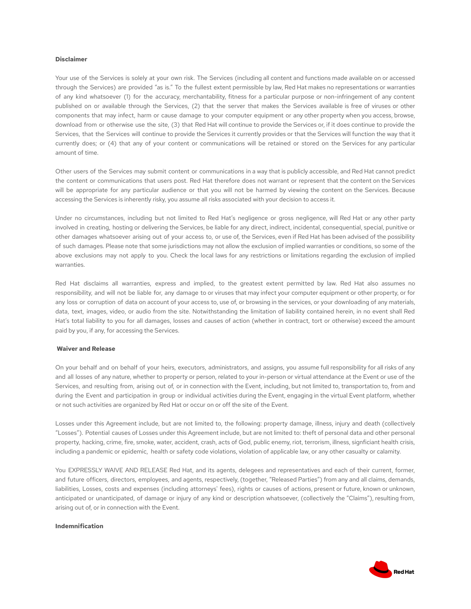### **Disclaimer**

Your use of the Services is solely at your own risk. The Services (including all content and functions made available on or accessed through the Services) are provided "as is." To the fullest extent permissible by law, Red Hat makes no representations or warranties of any kind whatsoever (1) for the accuracy, merchantability, fitness for a particular purpose or non-infringement of any content published on or available through the Services, (2) that the server that makes the Services available is free of viruses or other components that may infect, harm or cause damage to your computer equipment or any other property when you access, browse, download from or otherwise use the site, (3) that Red Hat will continue to provide the Services or, if it does continue to provide the Services, that the Services will continue to provide the Services it currently provides or that the Services will function the way that it currently does; or (4) that any of your content or communications will be retained or stored on the Services for any particular amount of time.

Other users of the Services may submit content or communications in a way that is publicly accessible, and Red Hat cannot predict the content or communications that users post. Red Hat therefore does not warrant or represent that the content on the Services will be appropriate for any particular audience or that you will not be harmed by viewing the content on the Services. Because accessing the Services is inherently risky, you assume all risks associated with your decision to access it.

Under no circumstances, including but not limited to Red Hat's negligence or gross negligence, will Red Hat or any other party involved in creating, hosting or delivering the Services, be liable for any direct, indirect, incidental, consequential, special, punitive or other damages whatsoever arising out of your access to, or use of, the Services, even if Red Hat has been advised of the possibility of such damages. Please note that some jurisdictions may not allow the exclusion of implied warranties or conditions, so some of the above exclusions may not apply to you. Check the local laws for any restrictions or limitations regarding the exclusion of implied warranties.

Red Hat disclaims all warranties, express and implied, to the greatest extent permitted by law. Red Hat also assumes no responsibility, and will not be liable for, any damage to or viruses that may infect your computer equipment or other property, or for any loss or corruption of data on account of your access to, use of, or browsing in the services, or your downloading of any materials, data, text, images, video, or audio from the site. Notwithstanding the limitation of liability contained herein, in no event shall Red Hat's total liability to you for all damages, losses and causes of action (whether in contract, tort or otherwise) exceed the amount paid by you, if any, for accessing the Services.

#### **Waiver and Release**

On your behalf and on behalf of your heirs, executors, administrators, and assigns, you assume full responsibility for all risks of any and all losses of any nature, whether to property or person, related to your in-person or virtual attendance at the Event or use of the Services, and resulting from, arising out of, or in connection with the Event, including, but not limited to, transportation to, from and during the Event and participation in group or individual activities during the Event, engaging in the virtual Event platform, whether or not such activities are organized by Red Hat or occur on or off the site of the Event.

Losses under this Agreement include, but are not limited to, the following: property damage, illness, injury and death (collectively "Losses"). Potential causes of Losses under this Agreement include, but are not limited to: theft of personal data and other personal property, hacking, crime, fire, smoke, water, accident, crash, acts of God, public enemy, riot, terrorism, illness, signficiant health crisis, including a pandemic or epidemic, health or safety code violations, violation of applicable law, or any other casualty or calamity.

You EXPRESSLY WAIVE AND RELEASE Red Hat, and its agents, delegees and representatives and each of their current, former, and future officers, directors, employees, and agents, respectively, (together, "Released Parties") from any and all claims, demands, liabilities, Losses, costs and expenses (including attorneys' fees), rights or causes of actions, present or future, known or unknown, anticipated or unanticipated, of damage or injury of any kind or description whatsoever, (collectively the "Claims"), resulting from, arising out of, or in connection with the Event.

### **Indemnification**